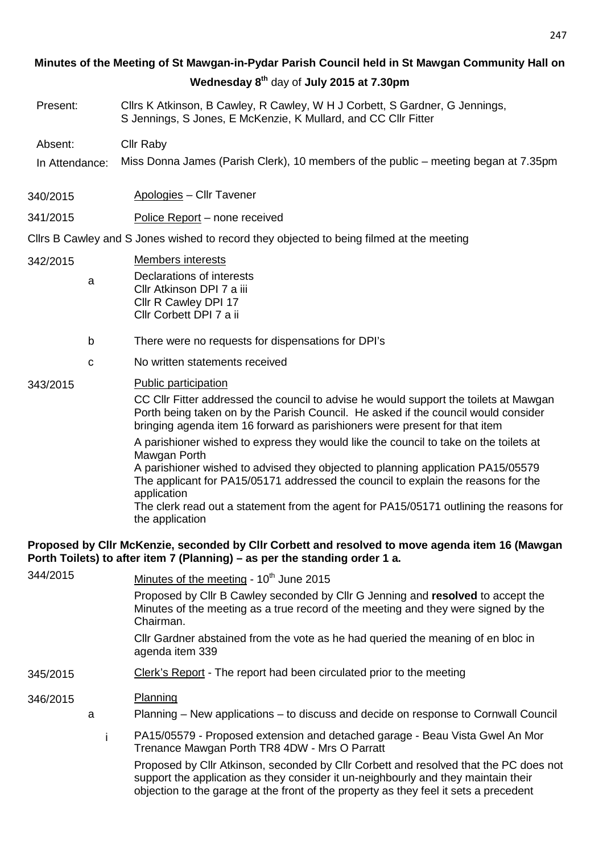# **Minutes of the Meeting of St Mawgan-in-Pydar Parish Council held in St Mawgan Community Hall on Wednesday 8th** day of **July 2015 at 7.30pm**

Present: Cllrs K Atkinson, B Cawley, R Cawley, W H J Corbett, S Gardner, G Jennings, S Jennings, S Jones, E McKenzie, K Mullard, and CC Cllr Fitter

Absent: Cllr Raby

- In Attendance: Miss Donna James (Parish Clerk), 10 members of the public meeting began at 7.35pm
- 340/2015 Apologies Cllr Tavener

# 341/2015 Police Report – none received

Cllrs B Cawley and S Jones wished to record they objected to being filmed at the meeting

- 342/2015 Members interests a Declarations of interests
	- Cllr Atkinson DPI 7 a iii Cllr R Cawley DPI 17 Cllr Corbett DPI 7 a ii
	- b There were no requests for dispensations for DPI's
	- c No written statements received

# 343/2015 Public participation

CC Cllr Fitter addressed the council to advise he would support the toilets at Mawgan Porth being taken on by the Parish Council. He asked if the council would consider bringing agenda item 16 forward as parishioners were present for that item

A parishioner wished to express they would like the council to take on the toilets at Mawgan Porth

A parishioner wished to advised they objected to planning application PA15/05579 The applicant for PA15/05171 addressed the council to explain the reasons for the application

The clerk read out a statement from the agent for PA15/05171 outlining the reasons for the application

# **Proposed by Cllr McKenzie, seconded by Cllr Corbett and resolved to move agenda item 16 (Mawgan Porth Toilets) to after item 7 (Planning) – as per the standing order 1 a.**

| 344/2015 |   | Minutes of the meeting - 10 <sup>th</sup> June 2015                                                                                                                                |
|----------|---|------------------------------------------------------------------------------------------------------------------------------------------------------------------------------------|
|          |   | Proposed by Cllr B Cawley seconded by Cllr G Jenning and resolved to accept the<br>Minutes of the meeting as a true record of the meeting and they were signed by the<br>Chairman. |
|          |   | Cllr Gardner abstained from the vote as he had queried the meaning of en bloc in<br>agenda item 339                                                                                |
| 345/2015 |   | Clerk's Report - The report had been circulated prior to the meeting                                                                                                               |
| 346/2015 |   | Planning                                                                                                                                                                           |
|          | a | Planning – New applications – to discuss and decide on response to Cornwall Council                                                                                                |
|          |   | PA15/05579 - Proposed extension and detached garage - Beau Vista Gwel An Mor<br>Trenance Mawgan Porth TR8 4DW - Mrs O Parratt                                                      |
|          |   | Proposed by Cllr Atkinson, seconded by Cllr Corbett and resolved that the PC does not<br>support the application as they consider it un-neighbourly and they maintain their        |

objection to the garage at the front of the property as they feel it sets a precedent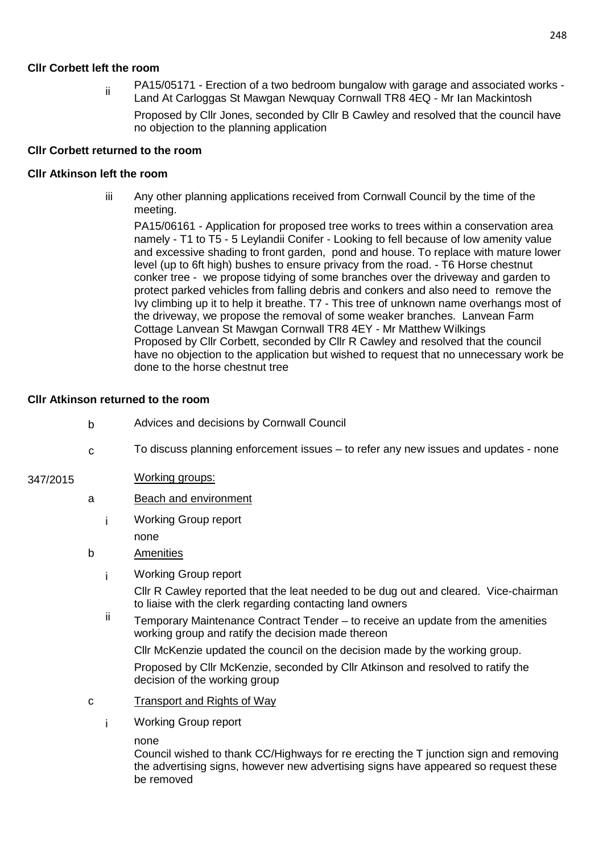# **Cllr Corbett left the room**

ii PA15/05171 - Erection of a two bedroom bungalow with garage and associated works -Land At Carloggas St Mawgan Newquay Cornwall TR8 4EQ - Mr Ian Mackintosh

Proposed by Cllr Jones, seconded by Cllr B Cawley and resolved that the council have no objection to the planning application

### **Cllr Corbett returned to the room**

#### **Cllr Atkinson left the room**

iii Any other planning applications received from Cornwall Council by the time of the meeting.

PA15/06161 - Application for proposed tree works to trees within a conservation area namely - T1 to T5 - 5 Leylandii Conifer - Looking to fell because of low amenity value and excessive shading to front garden, pond and house. To replace with mature lower level (up to 6ft high) bushes to ensure privacy from the road. - T6 Horse chestnut conker tree - we propose tidying of some branches over the driveway and garden to protect parked vehicles from falling debris and conkers and also need to remove the Ivy climbing up it to help it breathe. T7 - This tree of unknown name overhangs most of the driveway, we propose the removal of some weaker branches. Lanvean Farm Cottage Lanvean St Mawgan Cornwall TR8 4EY - Mr Matthew Wilkings Proposed by Cllr Corbett, seconded by Cllr R Cawley and resolved that the council have no objection to the application but wished to request that no unnecessary work be done to the horse chestnut tree

#### **Cllr Atkinson returned to the room**

- b Advices and decisions by Cornwall Council
- c To discuss planning enforcement issues to refer any new issues and updates none

# 347/2015 Working groups:

- a Beach and environment
	- i Working Group report none

# b Amenities

i Working Group report

Cllr R Cawley reported that the leat needed to be dug out and cleared. Vice-chairman to liaise with the clerk regarding contacting land owners

 $ii$  Temporary Maintenance Contract Tender – to receive an update from the amenities working group and ratify the decision made thereon

Cllr McKenzie updated the council on the decision made by the working group.

Proposed by Cllr McKenzie, seconded by Cllr Atkinson and resolved to ratify the decision of the working group

- c Transport and Rights of Way
	- i Working Group report
		- none

Council wished to thank CC/Highways for re erecting the T junction sign and removing the advertising signs, however new advertising signs have appeared so request these be removed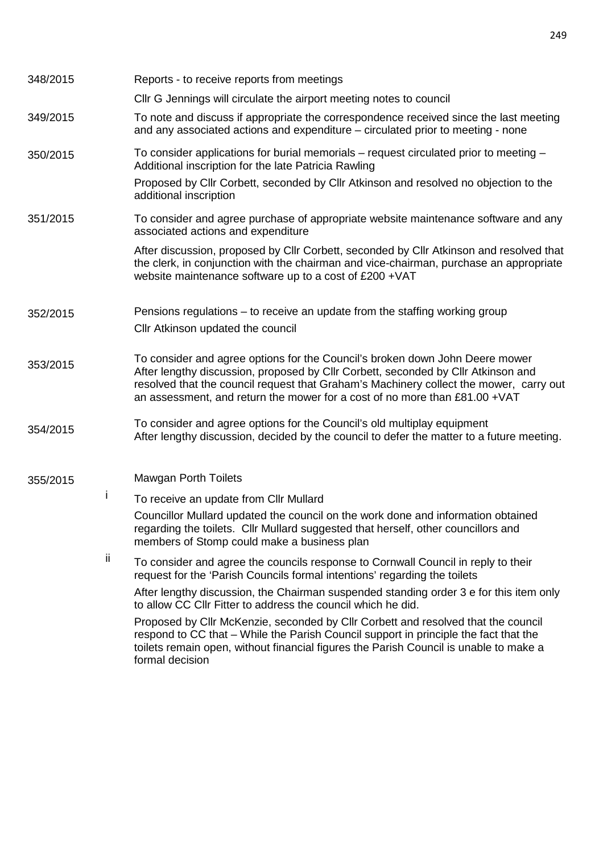| 348/2015 |     | Reports - to receive reports from meetings                                                                                                                                                                                                                                                                                                |  |  |
|----------|-----|-------------------------------------------------------------------------------------------------------------------------------------------------------------------------------------------------------------------------------------------------------------------------------------------------------------------------------------------|--|--|
|          |     | CIIr G Jennings will circulate the airport meeting notes to council                                                                                                                                                                                                                                                                       |  |  |
| 349/2015 |     | To note and discuss if appropriate the correspondence received since the last meeting<br>and any associated actions and expenditure - circulated prior to meeting - none                                                                                                                                                                  |  |  |
| 350/2015 |     | To consider applications for burial memorials – request circulated prior to meeting –<br>Additional inscription for the late Patricia Rawling                                                                                                                                                                                             |  |  |
|          |     | Proposed by Cllr Corbett, seconded by Cllr Atkinson and resolved no objection to the<br>additional inscription                                                                                                                                                                                                                            |  |  |
| 351/2015 |     | To consider and agree purchase of appropriate website maintenance software and any<br>associated actions and expenditure                                                                                                                                                                                                                  |  |  |
|          |     | After discussion, proposed by Cllr Corbett, seconded by Cllr Atkinson and resolved that<br>the clerk, in conjunction with the chairman and vice-chairman, purchase an appropriate<br>website maintenance software up to a cost of £200 + VAT                                                                                              |  |  |
| 352/2015 |     | Pensions regulations – to receive an update from the staffing working group                                                                                                                                                                                                                                                               |  |  |
|          |     | Cllr Atkinson updated the council                                                                                                                                                                                                                                                                                                         |  |  |
| 353/2015 |     | To consider and agree options for the Council's broken down John Deere mower<br>After lengthy discussion, proposed by Cllr Corbett, seconded by Cllr Atkinson and<br>resolved that the council request that Graham's Machinery collect the mower, carry out<br>an assessment, and return the mower for a cost of no more than £81.00 +VAT |  |  |
| 354/2015 |     | To consider and agree options for the Council's old multiplay equipment<br>After lengthy discussion, decided by the council to defer the matter to a future meeting.                                                                                                                                                                      |  |  |
| 355/2015 |     | <b>Mawgan Porth Toilets</b>                                                                                                                                                                                                                                                                                                               |  |  |
|          | T   | To receive an update from CIIr Mullard                                                                                                                                                                                                                                                                                                    |  |  |
|          |     | Councillor Mullard updated the council on the work done and information obtained<br>regarding the toilets. Cllr Mullard suggested that herself, other councillors and<br>members of Stomp could make a business plan                                                                                                                      |  |  |
|          | ij. | To consider and agree the councils response to Cornwall Council in reply to their<br>request for the 'Parish Councils formal intentions' regarding the toilets                                                                                                                                                                            |  |  |
|          |     | After lengthy discussion, the Chairman suspended standing order 3 e for this item only<br>to allow CC CIIr Fitter to address the council which he did.                                                                                                                                                                                    |  |  |
|          |     | Proposed by Cllr McKenzie, seconded by Cllr Corbett and resolved that the council<br>respond to CC that – While the Parish Council support in principle the fact that the<br>toilets remain open, without financial figures the Parish Council is unable to make a<br>formal decision                                                     |  |  |